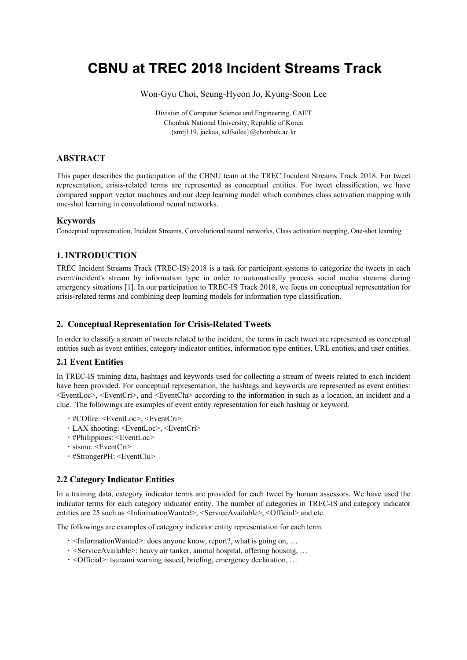# **CBNU at TREC 2018 Incident Streams Track**

Won-Gyu Choi, Seung-Hyeon Jo, Kyung-Soon Lee

Division of Computer Science and Engineering, CAIIT Chonbuk National University, Republic of Korea {smtj119, jackaa, selfsolee}@chonbuk.ac.kr

# **ABSTRACT**

This paper describes the participation of the CBNU team at the TREC Incident Streams Track 2018. For tweet representation, crisis-related terms are represented as conceptual entities. For tweet classification, we have compared support vector machines and our deep learning model which combines class activation mapping with one-shot learning in convolutional neural networks.

#### **Keywords**

Conceptual representation, Incident Streams, Convolutional neural networks, Class activation mapping, One-shot learning

# **1.INTRODUCTION**

TREC Incident Streams Track (TREC-IS) 2018 is a task for participant systems to categorize the tweets in each event/incident's stream by information type in order to automatically process social media streams during emergency situations [1]. In our participation to TREC-IS Track 2018, we focus on conceptual representation for crisis-related terms and combining deep learning models for information type classification.

## **2. Conceptual Representation for Crisis-Related Tweets**

In order to classify a stream of tweets related to the incident, the terms in each tweet are represented as conceptual entities such as event entities, category indicator entities, information type entities, URL entities, and user entities.

## **2.1 Event Entities**

In TREC-IS training data, hashtags and keywords used for collecting a stream of tweets related to each incident have been provided. For conceptual representation, the hashtags and keywords are represented as event entities: <EventLoc>, <EventCri>, and <EventClu> according to the information in such as a location, an incident and a clue. The followings are examples of event entity representation for each hashtag or keyword.

- #COfire: <EventLoc>, <EventCri>
- LAX shooting: <EventLoc>, <EventCri>
- #Philippines: <EventLoc>
- · sismo: <EventCri>
- #StrongerPH: <EventClu>

## **2.2 Category Indicator Entities**

In a training data, category indicator terms are provided for each tweet by human assessors. We have used the indicator terms for each category indicator entity. The number of categories in TREC-IS and category indicator entities are 25 such as <InformationWanted>, <ServiceAvailable>, <Official> and etc.

The followings are examples of category indicator entity representation for each term.

- <InformationWanted>: does anyone know, report?, what is going on, …
- <ServiceAvailable>: heavy air tanker, animal hospital, offering housing, …
- <Official>: tsunami warning issued, briefing, emergency declaration, …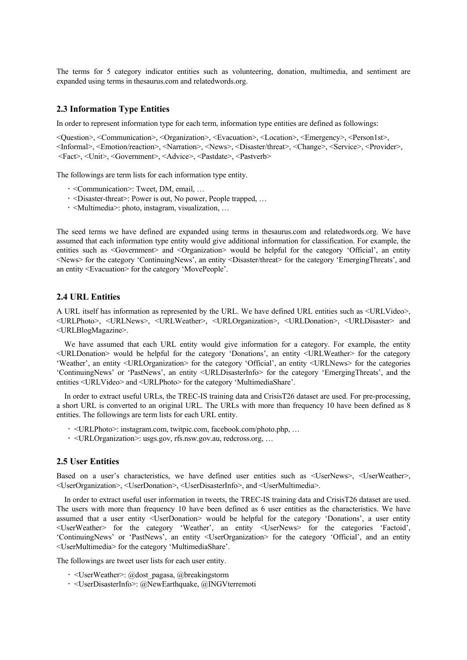The terms for 5 category indicator entities such as volunteering, donation, multimedia, and sentiment are expanded using terms in thesaurus.com and relatedwords.org.

## **2.3 Information Type Entities**

In order to represent information type for each term, information type entities are defined as followings:

<Question>, <Communication>, <Organization>, <Evacuation>, <Location>, <Emergency>, <Person1st>, <Informal>, <Emotion/reaction>, <Narration>, <News>, <Disaster/threat>, <Change>, <Service>, <Provider>, <Fact>, <Unit>, <Government>, <Advice>, <Pastdate>, <Pastverb>

The followings are term lists for each information type entity.

- <Communication>: Tweet, DM, email, …
- <Disaster-threat>: Power is out, No power, People trapped, …
- <Multimedia>: photo, instagram, visualization, …

The seed terms we have defined are expanded using terms in thesaurus.com and relatedwords.org. We have assumed that each information type entity would give additional information for classification. For example, the entities such as <Government> and <Organization> would be helpful for the category 'Official', an entity <News> for the category 'ContinuingNews', an entity <Disaster/threat> for the category 'EmergingThreats', and an entity <Evacuation> for the category 'MovePeople'.

### **2.4 URL Entities**

A URL itself has information as represented by the URL. We have defined URL entities such as <URLVideo>, <URLPhoto>, <URLNews>, <URLWeather>, <URLOrganization>, <URLDonation>, <URLDisaster> and <URLBlogMagazine>.

We have assumed that each URL entity would give information for a category. For example, the entity <URLDonation> would be helpful for the category 'Donations', an entity <URLWeather> for the category 'Weather', an entity <URLOrganization> for the category 'Official', an entity <URLNews> for the categories 'ContinuingNews' or 'PastNews', an entity <URLDisasterInfo> for the category 'EmergingThreats', and the entities <URLVideo> and <URLPhoto> for the category 'MultimediaShare'.

In order to extract useful URLs, the TREC-IS training data and CrisisT26 dataset are used. For pre-processing, a short URL is converted to an original URL. The URLs with more than frequency 10 have been defined as 8 entities. The followings are term lists for each URL entity.

- <URLPhoto>: instagram.com, twitpic.com, facebook.com/photo.php, …
- <URLOrganization>: usgs.gov, rfs.nsw.gov.au, redcross.org, …

## **2.5 User Entities**

Based on a user's characteristics, we have defined user entities such as <UserNews>, <UserWeather>, <UserOrganization>, <UserDonation>, <UserDisasterInfo>, and <UserMultimedia>.

In order to extract useful user information in tweets, the TREC-IS training data and CrisisT26 dataset are used. The users with more than frequency 10 have been defined as 6 user entities as the characteristics. We have assumed that a user entity <UserDonation> would be helpful for the category 'Donations', a user entity <UserWeather> for the category 'Weather', an entity <UserNews> for the categories 'Factoid', 'ContinuingNews' or 'PastNews', an entity <UserOrganization> for the category 'Official', and an entity <UserMultimedia> for the category 'MultimediaShare'.

The followings are tweet user lists for each user entity.

- <UserWeather>: @dost\_pagasa, @breakingstorm
- <UserDisasterInfo>: @NewEarthquake, @INGVterremoti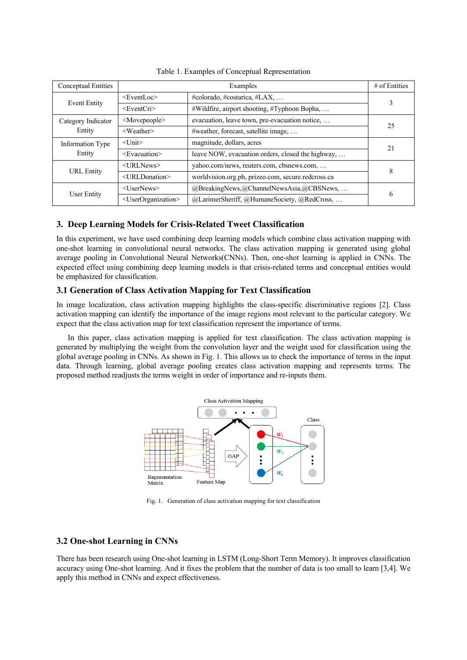| Conceptual Entities |                                       | # of Entities                                       |    |  |
|---------------------|---------------------------------------|-----------------------------------------------------|----|--|
| <b>Event Entity</b> | $<$ EventLoc $>$                      | #colorado, #costarica, #LAX,                        | 3  |  |
|                     | $<$ EventCri $>$                      | #Wildfire, airport shooting, #Typhoon Bopha,        |    |  |
| Category Indicator  | $<$ Movepeople $>$                    | evacuation, leave town, pre-evacuation notice,      | 25 |  |
| Entity              | $<$ Weather $>$                       | #weather, forecast, satellite image,                |    |  |
| Information Type    | $<$ Unit $>$                          | magnitude, dollars, acres                           | 21 |  |
| Entity              | <evacuation></evacuation>             | leave NOW, evacuation orders, closed the highway,   |    |  |
| <b>URL</b> Entity   | $\langle \text{URLNews} \rangle$      | yahoo.com/news, reuters.com, cbsnews.com,           | 8  |  |
|                     | $\leq$ URLDonation $\geq$             | worldvision.org.ph, prizeo.com, secure.redcross.ca  |    |  |
| User Entity         | $<$ UserNews $>$                      | $@$ BreakingNews, $@$ ChannelNewsAsia, $@$ CBSNews, | 6  |  |
|                     | <userorganization></userorganization> | @LarimerSheriff, @HumaneSociety, @RedCross,         |    |  |

#### Table 1. Examples of Conceptual Representation

# **3. Deep Learning Models for Crisis-Related Tweet Classification**

In this experiment, we have used combining deep learning models which combine class activation mapping with one-shot learning in convolutional neural networks. The class activation mapping is generated using global average pooling in Convolutional Neural Networks(CNNs). Then, one-shot learning is applied in CNNs. The expected effect using combining deep learning models is that crisis-related terms and conceptual entities would be emphasized for classification.

### **3.1 Generation of Class Activation Mapping for Text Classification**

In image localization, class activation mapping highlights the class-specific discriminative regions [2]. Class activation mapping can identify the importance of the image regions most relevant to the particular category. We expect that the class activation map for text classification represent the importance of terms.

In this paper, class activation mapping is applied for text classification. The class activation mapping is generated by multiplying the weight from the convolution layer and the weight used for classification using the global average pooling in CNNs. As shown in Fig. 1. This allows us to check the importance of terms in the input data. Through learning, global average pooling creates class activation mapping and represents terms. The proposed method readjusts the terms weight in order of importance and re-inputs them.



Fig. 1. Generation of class activation mapping for text classification

#### **3.2 One-shot Learning in CNNs**

There has been research using One-shot learning in LSTM (Long-Short Term Memory). It improves classification accuracy using One-shot learning. And it fixes the problem that the number of data is too small to learn [3,4]. We apply this method in CNNs and expect effectiveness.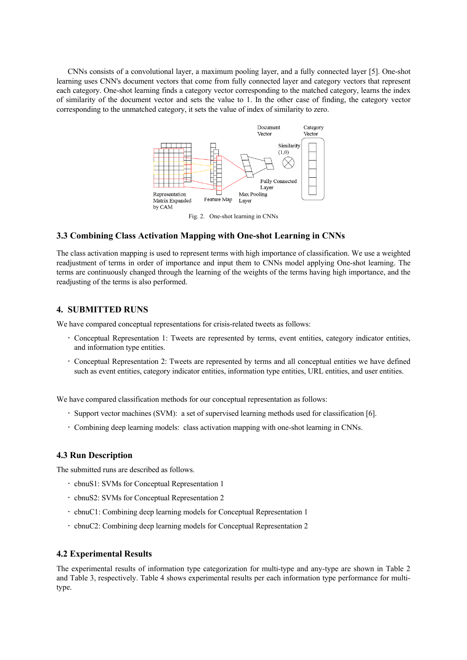CNNs consists of a convolutional layer, a maximum pooling layer, and a fully connected layer [5]. One-shot learning uses CNN's document vectors that come from fully connected layer and category vectors that represent each category. One-shot learning finds a category vector corresponding to the matched category, learns the index of similarity of the document vector and sets the value to 1. In the other case of finding, the category vector corresponding to the unmatched category, it sets the value of index of similarity to zero.



Fig. 2. One-shot learning in CNNs

# **3.3 Combining Class Activation Mapping with One-shot Learning in CNNs**

The class activation mapping is used to represent terms with high importance of classification. We use a weighted readjustment of terms in order of importance and input them to CNNs model applying One-shot learning. The terms are continuously changed through the learning of the weights of the terms having high importance, and the readjusting of the terms is also performed.

## **4. SUBMITTED RUNS**

We have compared conceptual representations for crisis-related tweets as follows:

- Conceptual Representation 1: Tweets are represented by terms, event entities, category indicator entities, and information type entities.
- Conceptual Representation 2: Tweets are represented by terms and all conceptual entities we have defined such as event entities, category indicator entities, information type entities, URL entities, and user entities.

We have compared classification methods for our conceptual representation as follows:

- Support vector machines (SVM): a set of supervised learning methods used for classification [6].
- Combining deep learning models: class activation mapping with one-shot learning in CNNs.

#### **4.3 Run Description**

The submitted runs are described as follows.

- cbnuS1: SVMs for Conceptual Representation 1
- cbnuS2: SVMs for Conceptual Representation 2
- cbnuC1: Combining deep learning models for Conceptual Representation 1
- cbnuC2: Combining deep learning models for Conceptual Representation 2

#### **4.2 Experimental Results**

The experimental results of information type categorization for multi-type and any-type are shown in Table 2 and Table 3, respectively. Table 4 shows experimental results per each information type performance for multitype.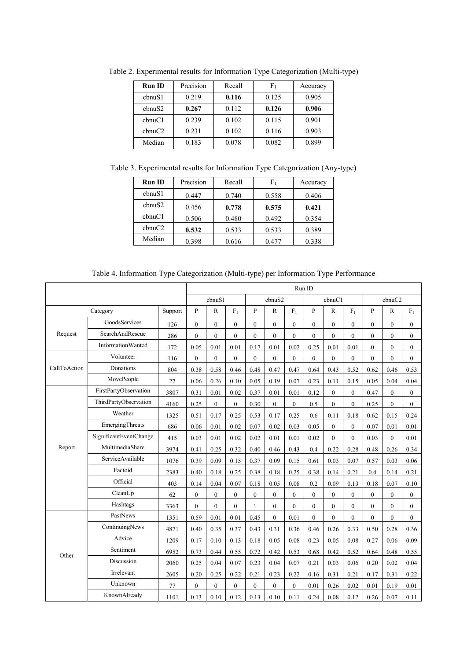| <b>Run ID</b> | Precision | Recall | ${\rm F_1}$ | Accuracy |
|---------------|-----------|--------|-------------|----------|
| chnuS1        | 0.219     | 0.116  | 0.125       | 0.905    |
| chnuS2        | 0.267     | 0.112  | 0.126       | 0.906    |
| chnuCl        | 0.239     | 0.102  | 0.115       | 0.901    |
| chnuC2        | 0.231     | 0.102  | 0.116       | 0.903    |
| Median        | 0.183     | 0.078  | 0.082       | 0.899    |

Table 2. Experimental results for Information Type Categorization (Multi-type)

Table 3. Experimental results for Information Type Categorization (Any-type)

| <b>Run ID</b> | Precision | Recall | $_{\rm F1}$ | Accuracy |
|---------------|-----------|--------|-------------|----------|
| chnuS1        | 0.447     | 0.740  | 0.558       | 0.406    |
| chnuS2        | 0.456     | 0.778  | 0.575       | 0.421    |
| chnuCl        | 0.506     | 0.480  | 0.492       | 0.354    |
| chnuC2        | 0.532     | 0.533  | 0.533       | 0.389    |
| Median        | 0.398     | 0.616  | 0.477       | 0.338    |

Table 4. Information Type Categorization (Multi-type) per Information Type Performance

|              |                          | Run ID  |              |                |              |              |              |              |                |                |                |                |                |                |
|--------------|--------------------------|---------|--------------|----------------|--------------|--------------|--------------|--------------|----------------|----------------|----------------|----------------|----------------|----------------|
|              |                          | cbnuS1  |              | cbnuS2         |              |              | cbnuCl       |              |                | cbnuC2         |                |                |                |                |
| Category     |                          | Support | P            | R              | $F_1$        | P            | $\mathbb{R}$ | $F_1$        | P              | $\mathbb{R}$   | $F_1$          | P              | $\mathbb{R}$   | $F_1$          |
|              | GoodsServices            | 126     | $\Omega$     | $\theta$       | $\theta$     | $\theta$     | $\theta$     | $\theta$     | $\theta$       | $\theta$       | $\Omega$       | $\theta$       | $\theta$       | $\theta$       |
| Request      | SearchAndRescue          | 286     | $\mathbf{0}$ | $\overline{0}$ | $\mathbf{0}$ | $\mathbf{0}$ | $\mathbf{0}$ | $\mathbf{0}$ | $\mathbf{0}$   | $\mathbf{0}$   | $\overline{0}$ | $\overline{0}$ | $\mathbf{0}$   | $\mathbf{0}$   |
|              | <b>InformationWanted</b> | 172     | 0.05         | 0.01           | 0.01         | 0.17         | 0.01         | 0.02         | 0.25           | 0.01           | 0.01           | $\Omega$       | $\theta$       | $\theta$       |
| CallToAction | Volunteer                | 116     | $\mathbf{0}$ | $\mathbf{0}$   | $\mathbf{0}$ | $\mathbf{0}$ | $\mathbf{0}$ | $\mathbf{0}$ | $\mathbf{0}$   | $\mathbf{0}$   | $\overline{0}$ | $\overline{0}$ | $\theta$       | $\mathbf{0}$   |
|              | Donations                | 804     | 0.38         | 0.58           | 0.46         | 0.48         | 0.47         | 0.47         | 0.64           | 0.43           | 0.52           | 0.62           | 0.46           | 0.53           |
|              | MovePeople               | 27      | 0.06         | 0.26           | 0.10         | 0.05         | 0.19         | 0.07         | 0.23           | 0.11           | 0.15           | 0.05           | 0.04           | 0.04           |
|              | FirstPartyObservation    | 3807    | 0.31         | 0.01           | 0.02         | 0.37         | 0.01         | 0.01         | 0.12           | $\theta$       | $\Omega$       | 0.47           | $\Omega$       | $\overline{0}$ |
|              | ThirdPartyObservation    | 4160    | 0.25         | $\mathbf{0}$   | $\mathbf{0}$ | 0.30         | $\mathbf{0}$ | $\mathbf{0}$ | 0.5            | $\mathbf{0}$   | $\mathbf{0}$   | 0.25           | $\mathbf{0}$   | $\mathbf{0}$   |
|              | Weather                  | 1325    | 0.51         | 0.17           | 0.25         | 0.53         | 0.17         | 0.25         | 0.6            | 0.11           | 0.18           | 0.62           | 0.15           | 0.24           |
|              | <b>EmergingThreats</b>   | 686     | 0.06         | 0.01           | 0.02         | 0.07         | 0.02         | 0.03         | 0.05           | $\overline{0}$ | $\overline{0}$ | 0.07           | 0.01           | 0.01           |
|              | SignificantEventChange   | 415     | 0.03         | 0.01           | 0.02         | 0.02         | 0.01         | 0.01         | 0.02           | $\mathbf{0}$   | $\overline{0}$ | 0.03           | $\mathbf{0}$   | 0.01           |
| Report       | MultimediaShare          | 3974    | 0.41         | 0.25           | 0.32         | 0.40         | 0.46         | 0.43         | 0.4            | 0.22           | 0.28           | 0.48           | 0.26           | 0.34           |
|              | ServiceAvailable         | 1076    | 0.39         | 0.09           | 0.15         | 0.37         | 0.09         | 0.15         | 0.61           | 0.03           | 0.07           | 0.57           | 0.03           | 0.06           |
|              | Factoid                  | 2383    | 0.40         | 0.18           | 0.25         | 0.38         | 0.18         | 0.25         | 0.38           | 0.14           | 0.21           | 0.4            | 0.14           | 0.21           |
|              | Official                 | 403     | 0.14         | 0.04           | 0.07         | 0.18         | 0.05         | 0.08         | 0.2            | 0.09           | 0.13           | 0.18           | 0.07           | 0.10           |
|              | CleanUp                  | 62      | $\mathbf{0}$ | $\mathbf{0}$   | $\theta$     | $\theta$     | $\mathbf{0}$ | $\mathbf{0}$ | $\overline{0}$ | $\overline{0}$ | $\Omega$       | $\theta$       | $\theta$       | $\mathbf{0}$   |
|              | Hashtags                 | 3363    | $\mathbf{0}$ | $\mathbf{0}$   | $\mathbf{0}$ | 1            | $\mathbf{0}$ | $\mathbf{0}$ | $\overline{0}$ | $\overline{0}$ | $\overline{0}$ | $\overline{0}$ | $\mathbf{0}$   | $\mathbf{0}$   |
|              | PastNews                 | 1351    | 0.59         | 0.01           | 0.01         | 0.45         | $\theta$     | 0.01         | $\theta$       | $\theta$       | $\overline{0}$ | $\theta$       | $\overline{0}$ | $\theta$       |
|              | ContinuingNews           | 4871    | 0.40         | 0.35           | 0.37         | 0.43         | 0.31         | 0.36         | 0.46           | 0.26           | 0.33           | 0.50           | 0.28           | 0.36           |
| Other        | Advice                   | 1209    | 0.17         | 0.10           | 0.13         | 0.18         | 0.05         | 0.08         | 0.23           | 0.05           | 0.08           | 0.27           | 0.06           | 0.09           |
|              | Sentiment                | 6952    | 0.73         | 0.44           | 0.55         | 0.72         | 0.42         | 0.53         | 0.68           | 0.42           | 0.52           | 0.64           | 0.48           | 0.55           |
|              | Discussion               | 2060    | 0.25         | 0.04           | 0.07         | 0.23         | 0.04         | 0.07         | 0.21           | 0.03           | 0.06           | 0.20           | 0.02           | 0.04           |
|              | Irrelevant               | 2605    | 0.20         | 0.25           | 0.22         | 0.21         | 0.23         | 0.22         | 0.16           | 0.31           | 0.21           | 0.17           | 0.31           | 0.22           |
|              | Unknown                  | 77      | $\mathbf{0}$ | $\theta$       | $\theta$     | $\theta$     | $\theta$     | $\theta$     | 0.01           | 0.26           | 0.02           | 0.01           | 0.19           | 0.01           |
|              | KnownAlready             | 1101    | 0.13         | 0.10           | 0.12         | 0.13         | 0.10         | 0.11         | 0.24           | 0.08           | 0.12           | 0.26           | 0.07           | 0.11           |